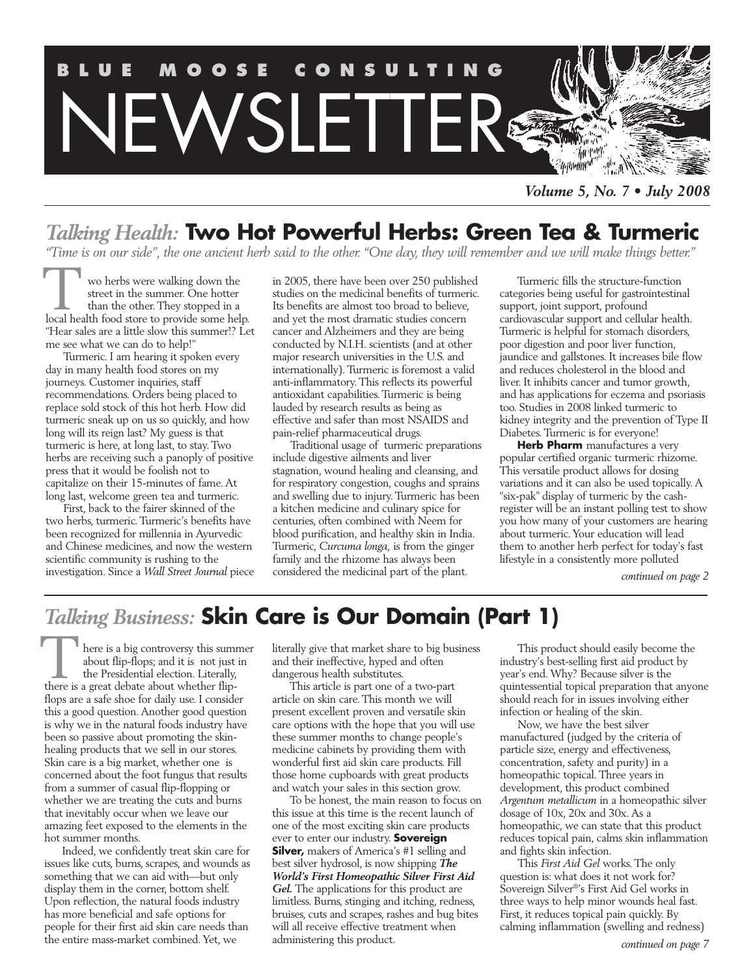

*Volume 5, No. 7 • July 2008*

## *Talking Health:* **Two Hot Powerful Herbs: Green Tea & Turmeric**

*"Time is on our side", the one ancient herb said to the other. "One day, they will remember and we will make things better."*

wo herbs were walking down the street in the summer. One hotter than the other. They stopped in a **local health food store to provide some help.**<br> **The summer.** One hotter than the other. They stopped in a local health food store to provide some help. "Hear sales are a little slow this summer!? Let me see what we can do to help!"

Turmeric. I am hearing it spoken every day in many health food stores on my journeys. Customer inquiries, staff recommendations. Orders being placed to replace sold stock of this hot herb. How did turmeric sneak up on us so quickly, and how long will its reign last? My guess is that turmeric is here, at long last, to stay. Two herbs are receiving such a panoply of positive press that it would be foolish not to capitalize on their 15-minutes of fame. At long last, welcome green tea and turmeric.

First, back to the fairer skinned of the two herbs, turmeric. Turmeric's benefits have been recognized for millennia in Ayurvedic and Chinese medicines, and now the western scientific community is rushing to the investigation. Since a *Wall Street Journal* piece in 2005, there have been over 250 published studies on the medicinal benefits of turmeric. Its benefits are almost too broad to believe, and yet the most dramatic studies concern cancer and Alzheimers and they are being conducted by N.I.H. scientists (and at other major research universities in the U.S. and internationally). Turmeric is foremost a valid anti-inflammatory. This reflects its powerful antioxidant capabilities. Turmeric is being lauded by research results as being as effective and safer than most NSAIDS and pain-relief pharmaceutical drugs.

Traditional usage of turmeric preparations include digestive ailments and liver stagnation, wound healing and cleansing, and for respiratory congestion, coughs and sprains and swelling due to injury. Turmeric has been a kitchen medicine and culinary spice for centuries, often combined with Neem for blood purification, and healthy skin in India. Turmeric, *Curcuma longa,* is from the ginger family and the rhizome has always been considered the medicinal part of the plant.

Turmeric fills the structure-function categories being useful for gastrointestinal support, joint support, profound cardiovascular support and cellular health. Turmeric is helpful for stomach disorders, poor digestion and poor liver function, jaundice and gallstones. It increases bile flow and reduces cholesterol in the blood and liver. It inhibits cancer and tumor growth, and has applications for eczema and psoriasis too. Studies in 2008 linked turmeric to kidney integrity and the prevention of Type II Diabetes. Turmeric is for everyone!

**Herb Pharm** manufactures a very popular certified organic turmeric rhizome. This versatile product allows for dosing variations and it can also be used topically. A "six-pak" display of turmeric by the cashregister will be an instant polling test to show you how many of your customers are hearing about turmeric. Your education will lead them to another herb perfect for today's fast lifestyle in a consistently more polluted

*continued on page 2*

## *Talking Business:* **Skin Care is Our Domain (Part 1)**

here is a big controversy this summer about flip-flops; and it is not just in the Presidential election. Literally, There is a big controversy this summabout flip-flops; and it is not just the Presidential election. Literally, there is a great debate about whether flipflops are a safe shoe for daily use. I consider this a good question. Another good question is why we in the natural foods industry have been so passive about promoting the skinhealing products that we sell in our stores. Skin care is a big market, whether one is concerned about the foot fungus that results from a summer of casual flip-flopping or whether we are treating the cuts and burns that inevitably occur when we leave our amazing feet exposed to the elements in the hot summer months.

Indeed, we confidently treat skin care for issues like cuts, burns, scrapes, and wounds as something that we can aid with—but only display them in the corner, bottom shelf. Upon reflection, the natural foods industry has more beneficial and safe options for people for their first aid skin care needs than the entire mass-market combined. Yet, we

literally give that market share to big business and their ineffective, hyped and often dangerous health substitutes.

This article is part one of a two-part article on skin care. This month we will present excellent proven and versatile skin care options with the hope that you will use these summer months to change people's medicine cabinets by providing them with wonderful first aid skin care products. Fill those home cupboards with great products and watch your sales in this section grow.

To be honest, the main reason to focus on this issue at this time is the recent launch of one of the most exciting skin care products ever to enter our industry. **Sovereign Silver,** makers of America's #1 selling and best silver hydrosol, is now shipping *The World's First Homeopathic Silver First Aid*  Gel. The applications for this product are limitless. Burns, stinging and itching, redness, bruises, cuts and scrapes, rashes and bug bites will all receive effective treatment when administering this product.

This product should easily become the industry's best-selling first aid product by year's end. Why? Because silver is the quintessential topical preparation that anyone should reach for in issues involving either infection or healing of the skin.

Now, we have the best silver manufactured (judged by the criteria of particle size, energy and effectiveness, concentration, safety and purity) in a homeopathic topical. Three years in development, this product combined *Argentum metallicum* in a homeopathic silver dosage of 10x, 20x and 30x. As a homeopathic, we can state that this product reduces topical pain, calms skin inflammation and fights skin infection.

This *First Aid Gel* works. The only question is: what does it not work for? Sovereign Silver®'s First Aid Gel works in three ways to help minor wounds heal fast. First, it reduces topical pain quickly. By calming inflammation (swelling and redness)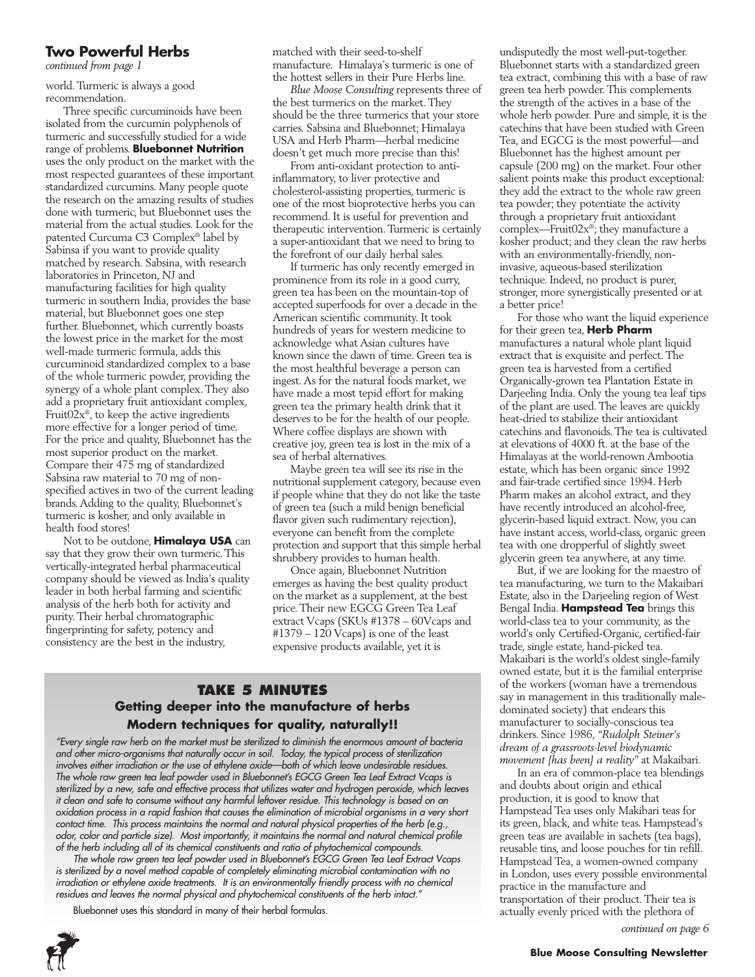#### **Two Powerful Herbs**

*continued from page 1*

world. Turmeric is always a good recommendation.

Three specific curcuminoids have been isolated from the curcumin polyphenols of turmeric and successfully studied for a wide range of problems. **Bluebonnet Nutrition** uses the only product on the market with the most respected guarantees of these important standardized curcumins. Many people quote the research on the amazing results of studies done with turmeric, but Bluebonnet uses the material from the actual studies. Look for the patented Curcuma C3 Complex® label by Sabinsa if you want to provide quality matched by research. Sabsina, with research laboratories in Princeton, NJ and manufacturing facilities for high quality turmeric in southern India, provides the base material, but Bluebonnet goes one step further. Bluebonnet, which currently boasts the lowest price in the market for the most well-made turmeric formula, adds this curcuminoid standardized complex to a base of the whole turmeric powder, providing the synergy of a whole plant complex. They also add a proprietary fruit antioxidant complex, Fruit $02x^{\circ}$ , to keep the active ingredients more effective for a longer period of time. For the price and quality, Bluebonnet has the most superior product on the market. Compare their 475 mg of standardized Sabsina raw material to 70 mg of nonspecified actives in two of the current leading brands. Adding to the quality, Bluebonnet's turmeric is kosher, and only available in health food stores!

Not to be outdone, **Himalaya USA** can say that they grow their own turmeric. This vertically-integrated herbal pharmaceutical company should be viewed as India's quality leader in both herbal farming and scientific analysis of the herb both for activity and purity. Their herbal chromatographic fingerprinting for safety, potency and consistency are the best in the industry,

matched with their seed-to-shelf manufacture. Himalaya's turmeric is one of the hottest sellers in their Pure Herbs line.

*Blue Moose Consulting* represents three of the best turmerics on the market. They should be the three turmerics that your store carries. Sabsina and Bluebonnet; Himalaya USA and Herb Pharm—herbal medicine doesn't get much more precise than this!

From anti-oxidant protection to antiinflammatory, to liver protective and cholesterol-assisting properties, turmeric is one of the most bioprotective herbs you can recommend. It is useful for prevention and therapeutic intervention. Turmeric is certainly a super-antioxidant that we need to bring to the forefront of our daily herbal sales.

If turmeric has only recently emerged in prominence from its role in a good curry, green tea has been on the mountain-top of accepted superfoods for over a decade in the American scientific community. It took hundreds of years for western medicine to acknowledge what Asian cultures have known since the dawn of time. Green tea is the most healthful beverage a person can ingest. As for the natural foods market, we have made a most tepid effort for making green tea the primary health drink that it deserves to be for the health of our people. Where coffee displays are shown with creative joy, green tea is lost in the mix of a sea of herbal alternatives.

Maybe green tea will see its rise in the nutritional supplement category, because even if people whine that they do not like the taste of green tea (such a mild benign beneficial flavor given such rudimentary rejection), everyone can benefit from the complete protection and support that this simple herbal shrubbery provides to human health.

Once again, Bluebonnet Nutrition emerges as having the best quality product on the market as a supplement, at the best price. Their new EGCG Green Tea Leaf extract Vcaps (SKUs #1378 – 60Vcaps and #1379 – 120 Vcaps) is one of the least expensive products available, yet it is

#### **Take 5 Minutes Getting deeper into the manufacture of herbs Modern techniques for quality, naturally!!**

*"Every single raw herb on the market must be sterilized to diminish the enormous amount of bacteria and other micro-organisms that naturally occur in soil. Today, the typical process of sterilization involves either irradiation or the use of ethylene oxide—both of which leave undesirable residues. The whole raw green tea leaf powder used in Bluebonnet's EGCG Green Tea Leaf Extract Vcaps is sterilized by a new, safe and effective process that utilizes water and hydrogen peroxide, which leaves it clean and safe to consume without any harmful leftover residue. This technology is based on an oxidation process in a rapid fashion that causes the elimination of microbial organisms in a very short contact time. This process maintains the normal and natural physical properties of the herb (e.g., odor, color and particle size). Most importantly, it maintains the normal and natural chemical profile of the herb including all of its chemical constituents and ratio of phytochemical compounds.*

*The whole raw green tea leaf powder used in Bluebonnet's EGCG Green Tea Leaf Extract Vcaps is sterilized by a novel method capable of completely eliminating microbial contamination with no irradiation or ethylene oxide treatments. It is an environmentally friendly process with no chemical residues and leaves the normal physical and phytochemical constituents of the herb intact."*

Bluebonnet uses this standard in many of their herbal formulas.



undisputedly the most well-put-together. Bluebonnet starts with a standardized green tea extract, combining this with a base of raw green tea herb powder. This complements the strength of the actives in a base of the whole herb powder. Pure and simple, it is the catechins that have been studied with Green Tea, and EGCG is the most powerful—and Bluebonnet has the highest amount per capsule (200 mg) on the market. Four other salient points make this product exceptional: they add the extract to the whole raw green tea powder; they potentiate the activity through a proprietary fruit antioxidant complex—Fruit02x®; they manufacture a kosher product; and they clean the raw herbs with an environmentally-friendly, noninvasive, aqueous-based sterilization technique. Indeed, no product is purer, stronger, more synergistically presented or at a better price!

For those who want the liquid experience for their green tea, **Herb Pharm** manufactures a natural whole plant liquid extract that is exquisite and perfect. The green tea is harvested from a certified Organically-grown tea Plantation Estate in Darjeeling India. Only the young tea leaf tips of the plant are used. The leaves are quickly heat-dried to stabilize their antioxidant catechins and flavonoids. The tea is cultivated at elevations of 4000 ft. at the base of the Himalayas at the world-renown Ambootia estate, which has been organic since 1992 and fair-trade certified since 1994. Herb Pharm makes an alcohol extract, and they have recently introduced an alcohol-free, glycerin-based liquid extract. Now, you can have instant access, world-class, organic green tea with one dropperful of slightly sweet glycerin green tea anywhere, at any time.

But, if we are looking for the maestro of tea manufacturing, we turn to the Makaibari Estate, also in the Darjeeling region of West Bengal India. **Hampstead Tea** brings this world-class tea to your community, as the world's only Certified-Organic, certified-fair trade, single estate, hand-picked tea. Makaibari is the world's oldest single-family owned estate, but it is the familial enterprise of the workers (woman have a tremendous say in management in this traditionally maledominated society) that endears this manufacturer to socially-conscious tea drinkers. Since 1986, *"Rudolph Steiner's dream of a grassroots-level biodynamic movement {has been} a reality"* at Makaibari.

In an era of common-place tea blendings and doubts about origin and ethical production, it is good to know that Hampstead Tea uses only Makibari teas for its green, black, and white teas. Hampstead's green teas are available in sachets (tea bags), reusable tins, and loose pouches for tin refill. Hampstead Tea, a women-owned company in London, uses every possible environmental practice in the manufacture and transportation of their product. Their tea is actually evenly priced with the plethora of

*continued on page 6*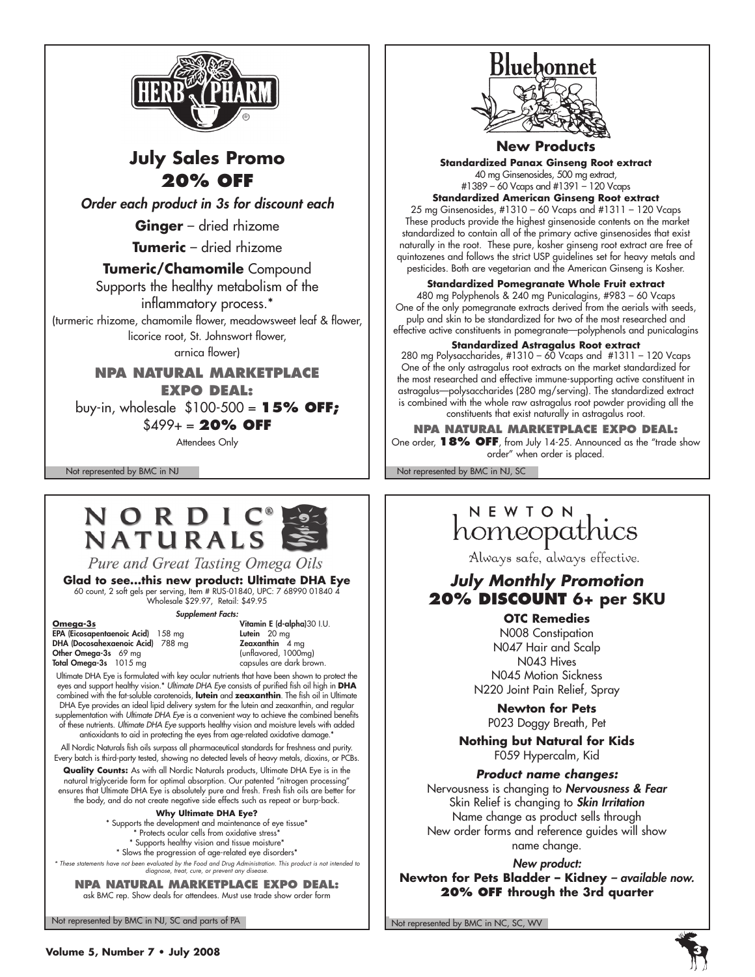

## **July Sales Promo 20% off**

*Order each product in 3s for discount each*

**Ginger** – dried rhizome

**Tumeric** – dried rhizome

#### **Tumeric/Chamomile** Compound

Supports the healthy metabolism of the

inflammatory process.\* (turmeric rhizome, chamomile flower, meadowsweet leaf & flower, licorice root, St. Johnswort flower,

arnica flower)

**NPA Natural Marketplace Expo deal:** buy-in, wholesale \$100-500 = **15% off;** 

\$499+ = **20% off**

Attendees Only

# NORDIC®<br>NATURALS

Pure and Great Tasting Omega Oils

Glad to see...this new product: Ultimate DHA Eye<br>60 count, 2 soft gels per serving, Item # RUS-01840, UPC: 7 68990 01840 4<br>Wholesale \$29.97, Retail: \$49.95

**Omega-3s** Vitamin E (d-alpha)30 I.U. EPA (Eicosapentaenoic Acid) 158 mg Lutein 20 mg DHA (Docosahexaenoic Acid) 788 mg Zeaxanthin 4 mg Other Omega-3s 69 mg (unflavored, 1000mg) Total Omega-3s 1015 mg

*Supplement Facts:*

Ultimate DHA Eye is formulated with key ocular nutrients that have been shown to protect the eyes and support healthy vision.\* *Ultimate DHA Eye* consists of purified fish oil high in **DHA** combined with the fat-soluble carotenoids, **lutein** and **zeaxanthin**. The fish oil in Ultimate DHA Eye provides an ideal lipid delivery system for the lutein and zeaxanthin, and regular supplementation with *Ultimate DHA Eye* is a convenient way to achieve the combined benefits of these nutrients. *Ultimate DHA Eye* supports healthy vision and moisture levels with added antioxidants to aid in protecting the eyes from age-related oxidative damage.\*

All Nordic Naturals fish oils surpass all pharmaceutical standards for freshness and purity. Every batch is third-party tested, showing no detected levels of heavy metals, dioxins, or PCBs.

**Quality Counts:** As with all Nordic Naturals products, Ultimate DHA Eye is in the natural triglyceride form for optimal absorption. Our patented "nitrogen processing" ensures that Ultimate DHA Eye is absolutely pure and fresh. Fresh fish oils are better for the body, and do not create negative side effects such as repeat or burp-back.

**Why Ultimate DHA Eye?**

\* Supports the development and maintenance of eye tissue\* \* Protects ocular cells from oxidative stress\* \* Supports healthy vision and tissue moisture\* \* Slows the progression of age-related eye disorders\* *\* These statements have not been evaluated by the Food and Drug Administration. This product is not intended to* 

*diagnose, treat, cure, or prevent any disease.* **NPA Natural Marketplace Expo deal:** ask BMC rep. Show deals for attendees. Must use trade show order form

Not represented by BMC in NJ, SC and parts of PA Not represented by BMC in NC, SC, WV

## Bluebonnet



#### **New Products**

**Standardized Panax Ginseng Root extract**  40 mg Ginsenosides, 500 mg extract, #1389 – 60 Vcaps and #1391 – 120 Vcaps

**Standardized American Ginseng Root extract** 25 mg Ginsenosides, #1310 – 60 Vcaps and #1311 – 120 Vcaps These products provide the highest ginsenoside contents on the market standardized to contain all of the primary active ginsenosides that exist naturally in the root. These pure, kosher ginseng root extract are free of quintozenes and follows the strict USP guidelines set for heavy metals and pesticides. Both are vegetarian and the American Ginseng is Kosher.

**Standardized Pomegranate Whole Fruit extract**

480 mg Polyphenols & 240 mg Punicalagins, #983 – 60 Vcaps One of the only pomegranate extracts derived from the aerials with seeds, pulp and skin to be standardized for two of the most researched and effective active constituents in pomegranate—polyphenols and punicalagins

#### **Standardized Astragalus Root extract**

280 mg Polysaccharides, #1310 – 60 Vcaps and #1311 – 120 Vcaps One of the only astragalus root extracts on the market standardized for the most researched and effective immune-supporting active constituent in astragalus—polysaccharides (280 mg/serving). The standardized extract is combined with the whole raw astragalus root powder providing all the constituents that exist naturally in astragalus root.

**NPA Natural Marketplace Expo deal:** One order, **18% off**, from July 14-25. Announced as the "trade show order" when order is placed.

Not represented by BMC in NJ Not represented by BMC in NJ, SC

# NEWION

Always safe, always effective.

#### *July Monthly Promotion* **20% Discount 6+ per SKU**

**OTC Remedies** N008 Constipation N047 Hair and Scalp N043 Hives N045 Motion Sickness N220 Joint Pain Relief, Spray

**Newton for Pets** P023 Doggy Breath, Pet

**Nothing but Natural for Kids** F059 Hypercalm, Kid

*Product name changes:*

Nervousness is changing to *Nervousness & Fear* Skin Relief is changing to *Skin Irritation* Name change as product sells through New order forms and reference guides will show name change.

*New product:* 

**Newton for Pets Bladder – Kidney** *– available now.* **20% off through the 3rd quarter**

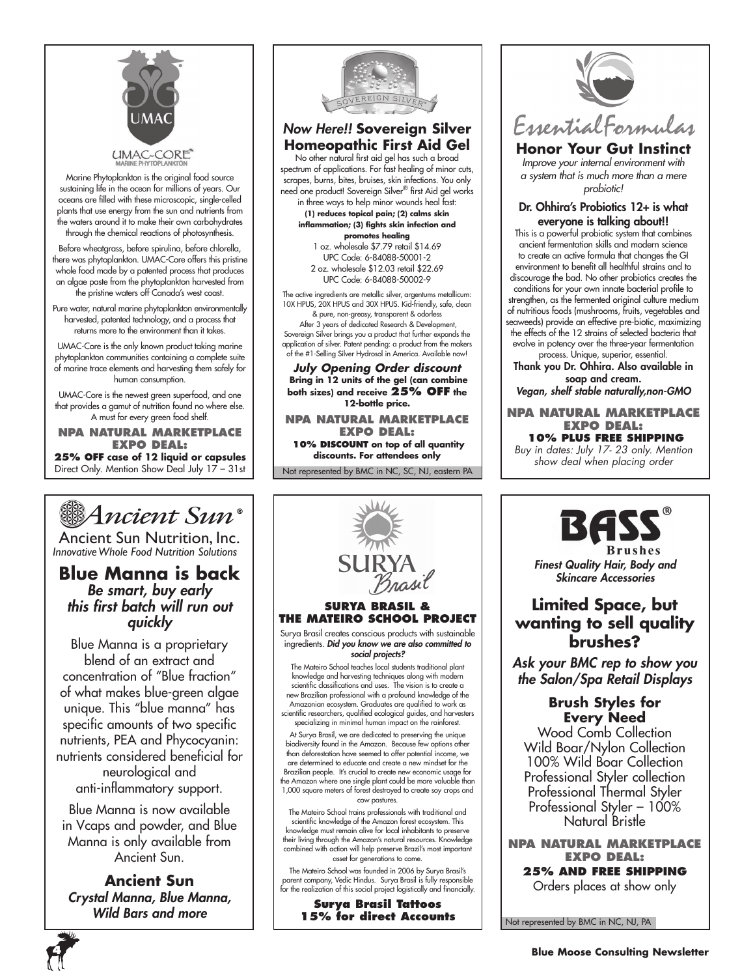

Marine Phytoplankton is the original food source sustaining life in the ocean for millions of years. Our oceans are filled with these microscopic, single-celled plants that use energy from the sun and nutrients from the waters around it to make their own carbohydrates through the chemical reactions of photosynthesis.

Before wheatgrass, before spirulina, before chlorella, there was phytoplankton. UMAC-Core offers this pristine whole food made by a patented process that produces an algae paste from the phytoplankton harvested from the pristine waters off Canada's west coast.

Pure water, natural marine phytoplankton environmentally harvested, patented technology, and a process that returns more to the environment than it takes.

UMAC-Core is the only known product taking marine phytoplankton communities containing a complete suite of marine trace elements and harvesting them safely for human consumption.

UMAC-Core is the newest green superfood, and one that provides a gamut of nutrition found no where else. A must for every green food shelf.

**NPA Natural Marketplace Expo deal: 25% off case of 12 liquid or capsules** Direct Only. Mention Show Deal July 17 – 31st



Ancient Sun Nutrition, Inc. *InnovativeWhole Food Nutrition Solutions*

#### **Blue Manna is back** *Be smart, buy early this first batch will run out quickly*

Blue Manna is a proprietary blend of an extract and concentration of "Blue fraction" of what makes blue-green algae unique. This "blue manna" has specific amounts of two specific nutrients, PEA and Phycocyanin: nutrients considered beneficial for neurological and anti-inflammatory support.

Blue Manna is now available in Vcaps and powder, and Blue Manna is only available from Ancient Sun.

**Ancient Sun** *Crystal Manna, Blue Manna, Wild Bars and more*



#### *Now Here!!* **Sovereign Silver Homeopathic First Aid Gel**

No other natural first aid gel has such a broad spectrum of applications. For fast healing of minor cuts, scrapes, burns, bites, bruises, skin infections. You only need one product! Sovereign Silver® first Aid gel works in three ways to help minor wounds heal fast:

**(1) reduces topical pain; (2) calms skin inflammation; (3) fights skin infection and promotes healing** 1 oz. wholesale \$7.79 retail \$14.69

UPC Code: 6-84088-50001-2 2 oz. wholesale \$12.03 retail \$22.69 UPC Code: 6-84088-50002-9

The active ingredients are metallic silver, argentums metallicum:

10X HPUS, 20X HPUS and 30X HPUS. Kid-friendly, safe, clean & pure, non-greasy, transparent & odorless After 3 years of dedicated Research & Development,

Sovereign Silver brings you a product that further expands the application of silver. Patent pending: a product from the makers of the #1-Selling Silver Hydrosol in America. Available now!

#### *July Opening Order discount*  **Bring in 12 units of the gel (can combine both sizes) and receive 25% off the 12-bottle price.**

**NPA Natural Marketplace Expo deal:**

**10% discount on top of all quantity discounts. For attendees only**

Not represented by BMC in NC, SC, NJ, eastern PA





#### **Honor Your Gut Instinct**

*Improve your internal environment with a system that is much more than a mere probiotic!*

#### Dr. Ohhira's Probiotics 12+ is what everyone is talking about!!

This is a powerful probiotic system that combines ancient fermentation skills and modern science to create an active formula that changes the GI environment to benefit all healthful strains and to discourage the bad. No other probiotics creates the conditions for your own innate bacterial profile to strengthen, as the fermented original culture medium of nutritious foods (mushrooms, fruits, vegetables and seaweeds) provide an effective pre-biotic, maximizing the effects of the 12 strains of selected bacteria that evolve in potency over the three-year fermentation process. Unique, superior, essential.

Thank you Dr. Ohhira. Also available in soap and cream.

*Vegan, shelf stable naturally,non-GMO*

**NPA Natural Marketplace Expo deal: 10% plus free shipping** *Buy in dates: July 17- 23 only. Mention* 

*show deal when placing order*



*Finest Quality Hair, Body and Skincare Accessories*

#### **Limited Space, but wanting to sell quality brushes?**

*Ask your BMC rep to show you the Salon/Spa Retail Displays*

#### **Brush Styles for Every Need**

Wood Comb Collection Wild Boar/Nylon Collection 100% Wild Boar Collection Professional Styler collection Professional Thermal Styler Professional Styler - 100% Natural Bristle

**NPA Natural Marketplace Expo deal:**

**25% and free shipping** Orders places at show only

Not represented by BMC in NC, NJ, PA



biodiversity found in the Amazon. Because few options other than deforestation have seemed to offer potential income, we Brazilian people. It's crucial to create new economic usage for the Amazon where one single plant could be more valuable than 1,000 square meters of forest destroyed to create soy crops and

their living through the Amazon's natural resources. Knowledge combined with action will help preserve Brazil's most important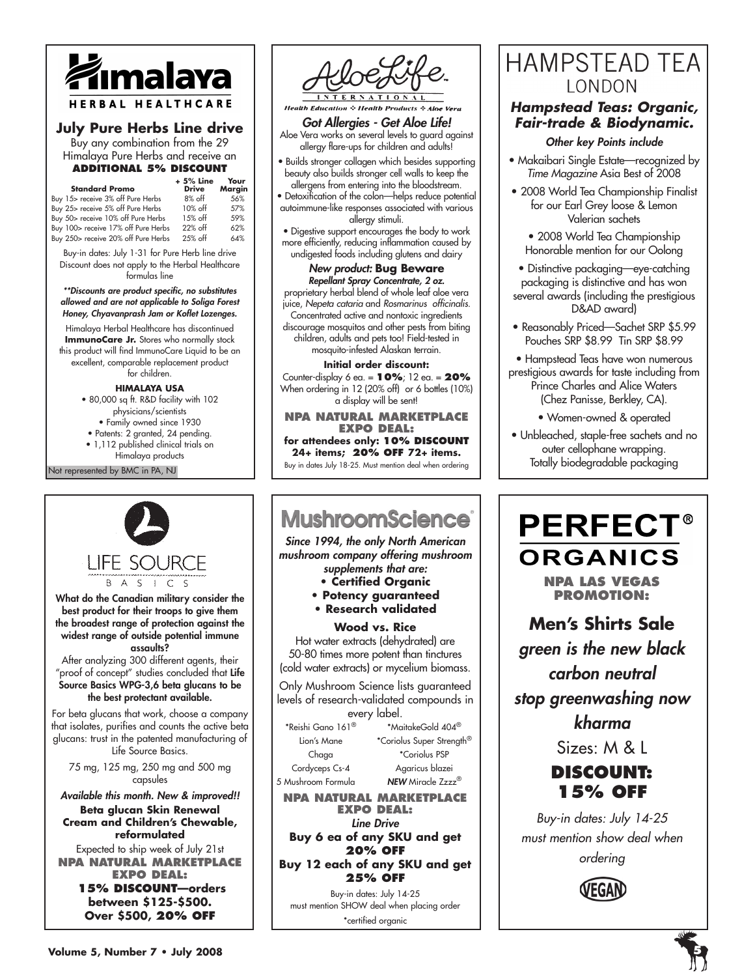

#### **July Pure Herbs Line drive**

Buy any combination from the 29 Himalaya Pure Herbs and receive an **additional 5% discount**

| <b>Standard Promo</b>               | $+5%$ Line<br><b>Drive</b> | Your<br>Margin |
|-------------------------------------|----------------------------|----------------|
| Buy 15> receive 3% off Pure Herbs   | $8\%$ off                  | 56%            |
| Buy 25> receive 5% off Pure Herbs   | 10% off                    | 57%            |
| Buy 50> receive 10% off Pure Herbs  | 15% off                    | 59%            |
| Buy 100> receive 17% off Pure Herbs | 22% off                    | 62%            |
| Buy 250> receive 20% off Pure Herbs | 25% off                    | 64%            |

Buy-in dates: July 1-31 for Pure Herb line drive Discount does not apply to the Herbal Healthcare formulas line

*\*\*Discounts are product specific, no substitutes allowed and are not applicable to Soliga Forest Honey, Chyavanprash Jam or Koflet Lozenges.* 

Himalaya Herbal Healthcare has discontinued **ImmunoCare Jr.** Stores who normally stock this product will find ImmunoCare Liquid to be an excellent, comparable replacement product for children.

**HIMALAYA USA**

- 80,000 sq ft. R&D facility with 102 physicians/scientists
	- Family owned since 1930
- Patents: 2 granted, 24 pending.
- 1,112 published clinical trials on

Not represented by BMC in PA, NJ Himalaya products

LIFE SOURCF

B A S I C S What do the Canadian military consider the best product for their troops to give them the broadest range of protection against the widest range of outside potential immune

#### assaults?

After analyzing 300 different agents, their "proof of concept" studies concluded that Life Source Basics WPG-3,6 beta glucans to be the best protectant available.

For beta glucans that work, choose a company that isolates, purifies and counts the active beta glucans: trust in the patented manufacturing of Life Source Basics.

75 mg, 125 mg, 250 mg and 500 mg capsules

*Available this month. New & improved!!* **Beta glucan Skin Renewal Cream and Children's Chewable,** 

#### **reformulated**

Expected to ship week of July 21st **NPA Natural Marketplace Expo deal:**

> **15% discount—orders between \$125-\$500. Over \$500, 20% off**



**Health Education & Health Products & Aloe Vera** 

*Got Allergies - Get Aloe Life!* Aloe Vera works on several levels to guard against allergy flare-ups for children and adults!

• Builds stronger collagen which besides supporting beauty also builds stronger cell walls to keep the

allergens from entering into the bloodstream. Detoxification of the colon—helps reduce potential autoimmune-like responses associated with various allergy stimuli.

• Digestive support encourages the body to work more efficiently, reducing inflammation caused by undigested foods including glutens and dairy

#### *New product:* **Bug Beware**

*Repellant Spray Concentrate, 2 oz.*  proprietary herbal blend of whole leaf aloe vera juice, *Nepeta cataria* and *Rosmarinus officinalis.* Concentrated active and nontoxic ingredients discourage mosquitos and other pests from biting children, adults and pets too! Field-tested in mosquito-infested Alaskan terrain.

#### **Initial order discount:**

Counter-display 6 ea. = **10%**; 12 ea. = **20%** When ordering in 12 (20% off) or 6 bottles (10%) a display will be sent!

**NPA Natural Marketplace Expo deal:** for attendees only: **10% DISCOUNT** 

**24+ items; 20% off 72+ items.** 

Buy in dates July 18-25. Must mention deal when ordering

#### ٦ **MushroomScience**®

*Since 1994, the only North American mushroom company offering mushroom supplements that are:*

- **Certified Organic**
- **Potency guaranteed**
- **Research validated**

#### **Wood vs. Rice**

Hot water extracts (dehydrated) are 50-80 times more potent than tinctures (cold water extracts) or mycelium biomass.

Only Mushroom Science lists guaranteed levels of research-validated compounds in every label.

 $^*$ Reishi Gano 161 $^{\circ}$   $^*$ MaitakeGold 404 $^{\circ}$ Lion's Mane \*Coriolus Super Strength<sup>®</sup> Chaga \*Coriolus PSP Cordyceps Cs-4 Agaricus blazei

5 Mushroom Formula *NEW* Miracle Zzzz®

**NPA Natural Marketplace Expo deal:** *Line Drive*

**Buy 6 ea of any SKU and get 20% off Buy 12 each of any SKU and get** 

**25% off**

Buy-in dates: July 14-25 must mention SHOW deal when placing order \*certified organic

## **HAMPSTEAD TEA** LONDON

#### *Hampstead Teas: Organic, Fair-trade & Biodynamic.*

#### *Other key Points include*

- Makaibari Single Estate—recognized by *Time Magazine* Asia Best of 2008
- 2008 World Tea Championship Finalist for our Earl Grey loose & Lemon Valerian sachets

• 2008 World Tea Championship Honorable mention for our Oolong

- Distinctive packaging—eye-catching packaging is distinctive and has won several awards (including the prestigious D&AD award)
- Reasonably Priced—Sachet SRP \$5.99 Pouches SRP \$8.99 Tin SRP \$8.99

• Hampstead Teas have won numerous prestigious awards for taste including from Prince Charles and Alice Waters (Chez Panisse, Berkley, CA).

• Women-owned & operated

• Unbleached, staple-free sachets and no outer cellophane wrapping. Totally biodegradable packaging

## **PERFECT® ORGANICS**

**NPA Las vegas promotion:**

**Men's Shirts Sale**

*green is the new black carbon neutral stop greenwashing now*

*kharma*

Sizes: M & L

### **discount: 15% off**

*Buy-in dates: July 14-25 must mention show deal when ordering*



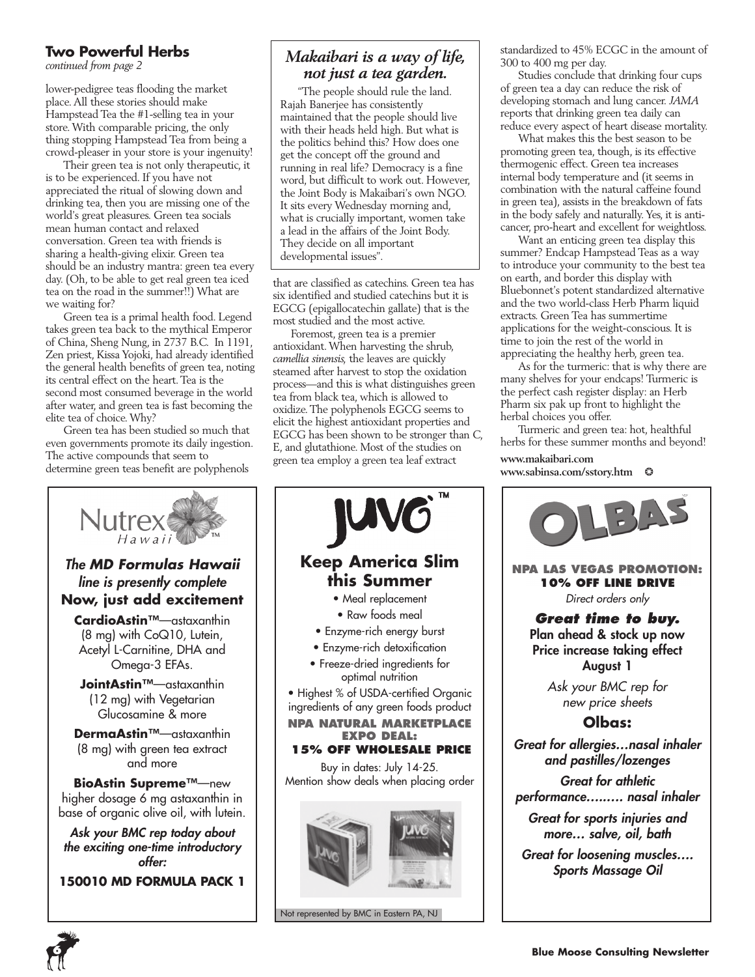#### **Two Powerful Herbs**

*continued from page 2*

lower-pedigree teas flooding the market place. All these stories should make Hampstead Tea the #1-selling tea in your store. With comparable pricing, the only thing stopping Hampstead Tea from being a crowd-pleaser in your store is your ingenuity!

Their green tea is not only therapeutic, it is to be experienced. If you have not appreciated the ritual of slowing down and drinking tea, then you are missing one of the world's great pleasures. Green tea socials mean human contact and relaxed conversation. Green tea with friends is sharing a health-giving elixir. Green tea should be an industry mantra: green tea every day. (Oh, to be able to get real green tea iced tea on the road in the summer!!) What are we waiting for?

Green tea is a primal health food. Legend takes green tea back to the mythical Emperor of China, Sheng Nung, in 2737 B.C. In 1191, Zen priest, Kissa Yojoki, had already identified the general health benefits of green tea, noting its central effect on the heart. Tea is the second most consumed beverage in the world after water, and green tea is fast becoming the elite tea of choice. Why?

Green tea has been studied so much that even governments promote its daily ingestion. The active compounds that seem to determine green teas benefit are polyphenols



#### *Makaibari is a way of life, not just a tea garden.*

"The people should rule the land. Rajah Banerjee has consistently maintained that the people should live with their heads held high. But what is the politics behind this? How does one get the concept off the ground and running in real life? Democracy is a fine word, but difficult to work out. However, the Joint Body is Makaibari's own NGO. It sits every Wednesday morning and, what is crucially important, women take a lead in the affairs of the Joint Body. They decide on all important developmental issues".

that are classified as catechins. Green tea has six identified and studied catechins but it is EGCG (epigallocatechin gallate) that is the most studied and the most active.

Foremost, green tea is a premier antioxidant. When harvesting the shrub, *camellia sinensis,* the leaves are quickly steamed after harvest to stop the oxidation process—and this is what distinguishes green tea from black tea, which is allowed to oxidize. The polyphenols EGCG seems to elicit the highest antioxidant properties and EGCG has been shown to be stronger than C, E, and glutathione. Most of the studies on green tea employ a green tea leaf extract



standardized to 45% ECGC in the amount of 300 to 400 mg per day.

Studies conclude that drinking four cups of green tea a day can reduce the risk of developing stomach and lung cancer. *JAMA* reports that drinking green tea daily can reduce every aspect of heart disease mortality.

What makes this the best season to be promoting green tea, though, is its effective thermogenic effect. Green tea increases internal body temperature and (it seems in combination with the natural caffeine found in green tea), assists in the breakdown of fats in the body safely and naturally. Yes, it is anticancer, pro-heart and excellent for weightloss.

Want an enticing green tea display this summer? Endcap Hampstead Teas as a way to introduce your community to the best tea on earth, and border this display with Bluebonnet's potent standardized alternative and the two world-class Herb Pharm liquid extracts. Green Tea has summertime applications for the weight-conscious. It is time to join the rest of the world in appreciating the healthy herb, green tea.

As for the turmeric: that is why there are many shelves for your endcaps! Turmeric is the perfect cash register display: an Herb Pharm six pak up front to highlight the herbal choices you offer.

Turmeric and green tea: hot, healthful herbs for these summer months and beyond!

**www.makaibari.com www.sabinsa.com/sstory.htm** ❂



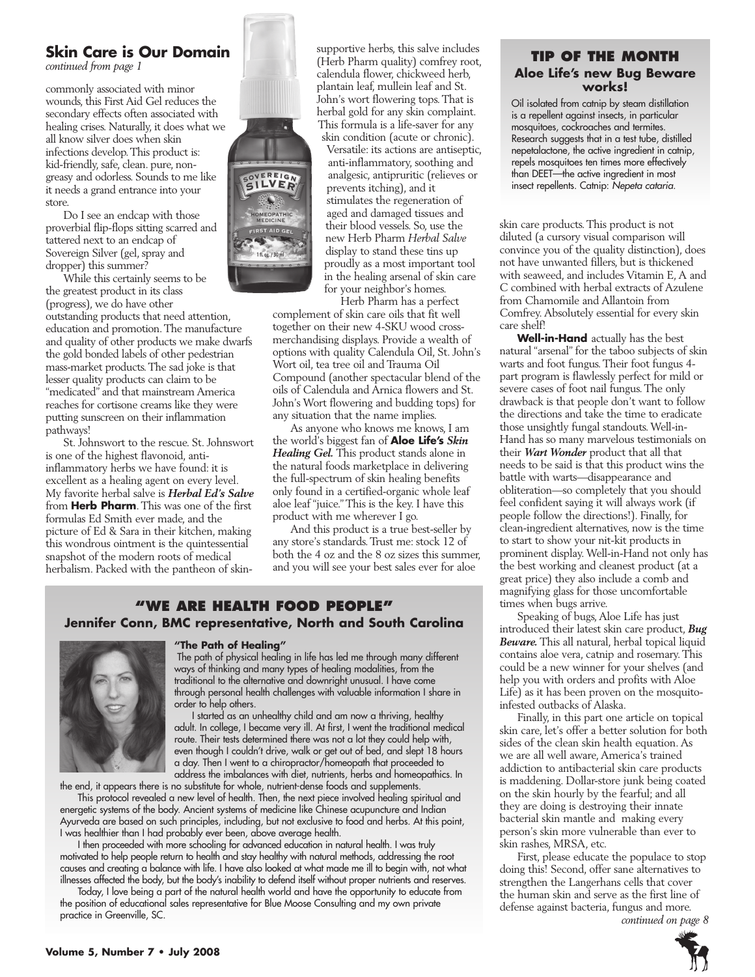#### **Skin Care is Our Domain**

*continued from page 1*

commonly associated with minor wounds, this First Aid Gel reduces the secondary effects often associated with healing crises. Naturally, it does what we all know silver does when skin infections develop. This product is: kid-friendly, safe, clean. pure, nongreasy and odorless. Sounds to me like it needs a grand entrance into your store

Do I see an endcap with those proverbial flip-flops sitting scarred and tattered next to an endcap of Sovereign Silver (gel, spray and dropper) this summer?

While this certainly seems to be the greatest product in its class (progress), we do have other outstanding products that need attention, education and promotion. The manufacture and quality of other products we make dwarfs the gold bonded labels of other pedestrian mass-market products. The sad joke is that lesser quality products can claim to be "medicated" and that mainstream America reaches for cortisone creams like they were putting sunscreen on their inflammation pathways!

St. Johnswort to the rescue. St. Johnswort is one of the highest flavonoid, antiinflammatory herbs we have found: it is excellent as a healing agent on every level. My favorite herbal salve is *Herbal Ed's Salve*  from **Herb Pharm**. This was one of the first formulas Ed Smith ever made, and the picture of Ed & Sara in their kitchen, making this wondrous ointment is the quintessential snapshot of the modern roots of medical herbalism. Packed with the pantheon of skin-



supportive herbs, this salve includes (Herb Pharm quality) comfrey root, calendula flower, chickweed herb, plantain leaf, mullein leaf and St. John's wort flowering tops. That is herbal gold for any skin complaint. This formula is a life-saver for any skin condition (acute or chronic).

Versatile: its actions are antiseptic, anti-inflammatory, soothing and analgesic, antipruritic (relieves or prevents itching), and it stimulates the regeneration of aged and damaged tissues and their blood vessels. So, use the new Herb Pharm *Herbal Salve* display to stand these tins up proudly as a most important tool in the healing arsenal of skin care for your neighbor's homes.

Herb Pharm has a perfect

complement of skin care oils that fit well together on their new 4-SKU wood crossmerchandising displays. Provide a wealth of options with quality Calendula Oil, St. John's Wort oil, tea tree oil and Trauma Oil Compound (another spectacular blend of the oils of Calendula and Arnica flowers and St. John's Wort flowering and budding tops) for any situation that the name implies.

As anyone who knows me knows, I am the world's biggest fan of **Aloe Life's** *Skin Healing Gel.* This product stands alone in the natural foods marketplace in delivering the full-spectrum of skin healing benefits only found in a certified-organic whole leaf aloe leaf "juice." This is the key. I have this product with me wherever I go.

And this product is a true best-seller by any store's standards. Trust me: stock 12 of both the 4 oz and the 8 oz sizes this summer, and you will see your best sales ever for aloe

#### **"We Are health food people" Jennifer Conn, BMC representative, North and South Carolina**



#### **"The Path of Healing"**

 The path of physical healing in life has led me through many different ways of thinking and many types of healing modalities, from the traditional to the alternative and downright unusual. I have come through personal health challenges with valuable information I share in order to help others.

I started as an unhealthy child and am now a thriving, healthy adult. In college, I became very ill. At first, I went the traditional medical route. Their tests determined there was not a lot they could help with, even though I couldn't drive, walk or get out of bed, and slept 18 hours a day. Then I went to a chiropractor/homeopath that proceeded to address the imbalances with diet, nutrients, herbs and homeopathics. In

the end, it appears there is no substitute for whole, nutrient-dense foods and supplements. This protocol revealed a new level of health. Then, the next piece involved healing spiritual and energetic systems of the body. Ancient systems of medicine like Chinese acupuncture and Indian Ayurveda are based on such principles, including, but not exclusive to food and herbs. At this point,

I was healthier than I had probably ever been, above average health. I then proceeded with more schooling for advanced education in natural health. I was truly

motivated to help people return to health and stay healthy with natural methods, addressing the root causes and creating a balance with life. I have also looked at what made me ill to begin with, not what illnesses affected the body, but the body's inability to defend itself without proper nutrients and reserves.

Today, I love being a part of the natural health world and have the opportunity to educate from the position of educational sales representative for Blue Moose Consulting and my own private practice in Greenville, SC.

#### **Tip of the Month Aloe Life's new Bug Beware works!**

Oil isolated from catnip by steam distillation is a repellent against insects, in particular mosquitoes, cockroaches and termites. Research suggests that in a test tube, distilled nepetalactone, the active ingredient in catnip, repels mosquitoes ten times more effectively than DEET—the active ingredient in most insect repellents. Catnip: *Nepeta cataria.*

skin care products. This product is not diluted (a cursory visual comparison will convince you of the quality distinction), does not have unwanted fillers, but is thickened with seaweed, and includes Vitamin E, A and C combined with herbal extracts of Azulene from Chamomile and Allantoin from Comfrey. Absolutely essential for every skin care shelf!

**Well-in-Hand** actually has the best natural "arsenal" for the taboo subjects of skin warts and foot fungus. Their foot fungus 4 part program is flawlessly perfect for mild or severe cases of foot nail fungus. The only drawback is that people don't want to follow the directions and take the time to eradicate those unsightly fungal standouts. Well-in-Hand has so many marvelous testimonials on their *Wart Wonder* product that all that needs to be said is that this product wins the battle with warts—disappearance and obliteration—so completely that you should feel confident saying it will always work (if people follow the directions!). Finally, for clean-ingredient alternatives, now is the time to start to show your nit-kit products in prominent display. Well-in-Hand not only has the best working and cleanest product (at a great price) they also include a comb and magnifying glass for those uncomfortable times when bugs arrive.

Speaking of bugs, Aloe Life has just introduced their latest skin care product, *Bug Beware.* This all natural, herbal topical liquid contains aloe vera, catnip and rosemary. This could be a new winner for your shelves (and help you with orders and profits with Aloe Life) as it has been proven on the mosquitoinfested outbacks of Alaska.

Finally, in this part one article on topical skin care, let's offer a better solution for both sides of the clean skin health equation. As we are all well aware, America's trained addiction to antibacterial skin care products is maddening. Dollar-store junk being coated on the skin hourly by the fearful; and all they are doing is destroying their innate bacterial skin mantle and making every person's skin more vulnerable than ever to skin rashes, MRSA, etc.

First, please educate the populace to stop doing this! Second, offer sane alternatives to strengthen the Langerhans cells that cover the human skin and serve as the first line of defense against bacteria, fungus and more. *continued on page 8*